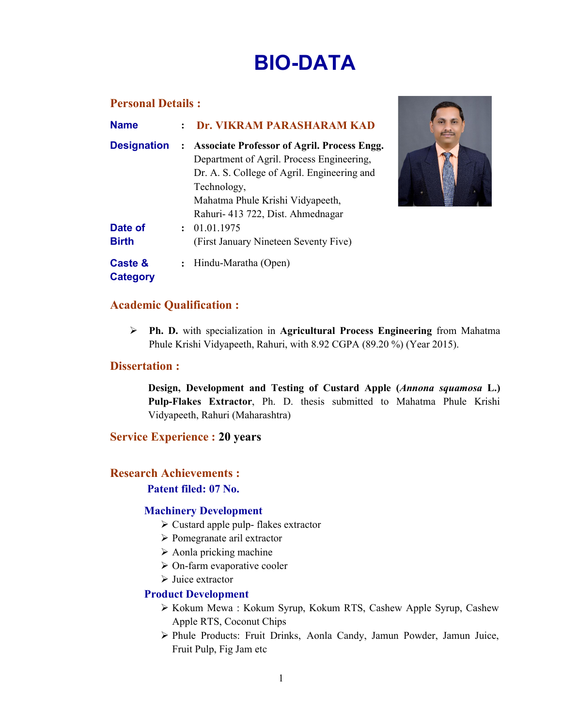# BIO-DATA

## Personal Details :

| <b>Name</b>                |                      | Dr. VIKRAM PARASHARAM KAD                                                                       |
|----------------------------|----------------------|-------------------------------------------------------------------------------------------------|
| <b>Designation</b>         | $\ddot{\cdot}$       | <b>Associate Professor of Agril. Process Engg.</b><br>Department of Agril. Process Engineering, |
|                            |                      | Dr. A. S. College of Agril. Engineering and                                                     |
|                            |                      | Technology,                                                                                     |
|                            |                      | Mahatma Phule Krishi Vidyapeeth,                                                                |
|                            |                      | Rahuri- 413 722, Dist. Ahmednagar                                                               |
| Date of                    | $\cdot$              | 01.01.1975                                                                                      |
| <b>Birth</b>               |                      | (First January Nineteen Seventy Five)                                                           |
| Caste &<br><b>Category</b> | $\ddot{\phantom{a}}$ | Hindu-Maratha (Open)                                                                            |



# Academic Qualification :

 Ph. D. with specialization in Agricultural Process Engineering from Mahatma Phule Krishi Vidyapeeth, Rahuri, with 8.92 CGPA (89.20 %) (Year 2015).

## Dissertation :

Design, Development and Testing of Custard Apple (*Annona squamosa* L.) Pulp-Flakes Extractor, Ph. D. thesis submitted to Mahatma Phule Krishi Vidyapeeth, Rahuri (Maharashtra)

## Service Experience : 20 years

## Research Achievements :

## Patent filed: 07 No.

## Machinery Development

- Custard apple pulp- flakes extractor
- Pomegranate aril extractor
- $\triangleright$  Aonla pricking machine
- > On-farm evaporative cooler
- $\triangleright$  Juice extractor

#### Product Development

- Kokum Mewa : Kokum Syrup, Kokum RTS, Cashew Apple Syrup, Cashew Apple RTS, Coconut Chips
- Phule Products: Fruit Drinks, Aonla Candy, Jamun Powder, Jamun Juice, Fruit Pulp, Fig Jam etc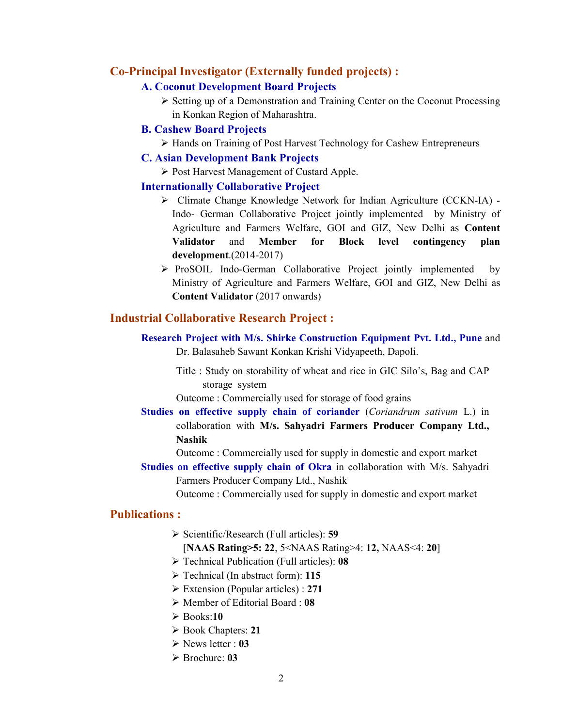#### Co-Principal Investigator (Externally funded projects) :

#### A. Coconut Development Board Projects

 $\triangleright$  Setting up of a Demonstration and Training Center on the Coconut Processing in Konkan Region of Maharashtra.

#### B. Cashew Board Projects

Hands on Training of Post Harvest Technology for Cashew Entrepreneurs

#### C. Asian Development Bank Projects

▶ Post Harvest Management of Custard Apple.

#### Internationally Collaborative Project

- Climate Change Knowledge Network for Indian Agriculture (CCKN-IA) Indo- German Collaborative Project jointly implemented by Ministry of Agriculture and Farmers Welfare, GOI and GIZ, New Delhi as Content Validator and Member for Block level contingency plan development.(2014-2017)
- ProSOIL Indo-German Collaborative Project jointly implemented by Ministry of Agriculture and Farmers Welfare, GOI and GIZ, New Delhi as Content Validator (2017 onwards)

## Industrial Collaborative Research Project :

- Research Project with M/s. Shirke Construction Equipment Pvt. Ltd., Pune and Dr. Balasaheb Sawant Konkan Krishi Vidyapeeth, Dapoli.
	- Title : Study on storability of wheat and rice in GIC Silo's, Bag and CAP storage system

Outcome : Commercially used for storage of food grains

Studies on effective supply chain of coriander (*Coriandrum sativum* L.) in collaboration with M/s. Sahyadri Farmers Producer Company Ltd., Nashik

Outcome : Commercially used for supply in domestic and export market

Studies on effective supply chain of Okra in collaboration with M/s. Sahyadri Farmers Producer Company Ltd., Nashik

Outcome : Commercially used for supply in domestic and export market

# Publications :

 $\triangleright$  Scientific/Research (Full articles): 59

#### [NAAS Rating>5: 22, 5<NAAS Rating>4: 12, NAAS<4: 20]

- $\triangleright$  Technical Publication (Full articles): 08
- $\triangleright$  Technical (In abstract form): 115
- $\triangleright$  Extension (Popular articles) : 271
- $\triangleright$  Member of Editorial Board : 08
- $\geq$  Books:10
- Book Chapters: 21
- $\triangleright$  News letter : 03
- $\triangleright$  Brochure: 03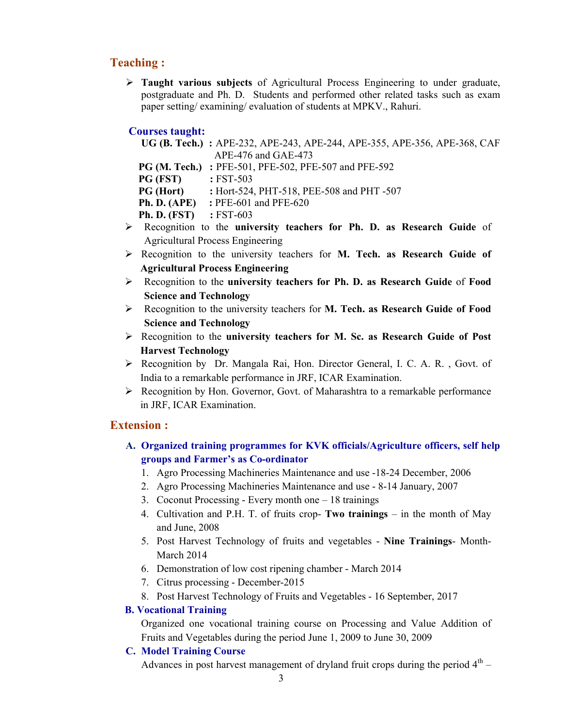# Teaching :

 $\triangleright$  Taught various subjects of Agricultural Process Engineering to under graduate, postgraduate and Ph. D. Students and performed other related tasks such as exam paper setting/ examining/ evaluation of students at MPKV., Rahuri.

#### Courses taught:

| UG (B. Tech.) : APE-232, APE-243, APE-244, APE-355, APE-356, APE-368, CAF |
|---------------------------------------------------------------------------|
| $APE-476$ and $GAE-473$                                                   |

PG (M. Tech.) : PFE-501, PFE-502, PFE-507 and PFE-592

**PG (FST)** : FST-503

**PG (Hort)** : Hort-524, PHT-518, PEE-508 and PHT-507

**Ph. D. (APE)** : PFE-601 and PFE-620

Ph. D. (FST) : FST-603

- > Recognition to the university teachers for Ph. D. as Research Guide of Agricultural Process Engineering
- $\triangleright$  Recognition to the university teachers for M. Tech. as Research Guide of Agricultural Process Engineering
- $\triangleright$  Recognition to the university teachers for Ph. D. as Research Guide of Food Science and Technology
- $\triangleright$  Recognition to the university teachers for **M. Tech. as Research Guide of Food** Science and Technology
- $\triangleright$  Recognition to the university teachers for M. Sc. as Research Guide of Post Harvest Technology
- ▶ Recognition by Dr. Mangala Rai, Hon. Director General, I. C. A. R., Govt. of India to a remarkable performance in JRF, ICAR Examination.
- $\triangleright$  Recognition by Hon. Governor, Govt. of Maharashtra to a remarkable performance in JRF, ICAR Examination.

# Extension :

- A. Organized training programmes for KVK officials/Agriculture officers, self help groups and Farmer's as Co-ordinator
	- 1. Agro Processing Machineries Maintenance and use -18-24 December, 2006
	- 2. Agro Processing Machineries Maintenance and use 8-14 January, 2007
	- 3. Coconut Processing Every month one 18 trainings
	- 4. Cultivation and P.H. T. of fruits crop- Two trainings in the month of May and June, 2008
	- 5. Post Harvest Technology of fruits and vegetables Nine Trainings- Month-March 2014
	- 6. Demonstration of low cost ripening chamber March 2014
	- 7. Citrus processing December-2015
	- 8. Post Harvest Technology of Fruits and Vegetables 16 September, 2017

## B. Vocational Training

Organized one vocational training course on Processing and Value Addition of Fruits and Vegetables during the period June 1, 2009 to June 30, 2009

#### C. Model Training Course

Advances in post harvest management of dryland fruit crops during the period  $4<sup>th</sup>$  –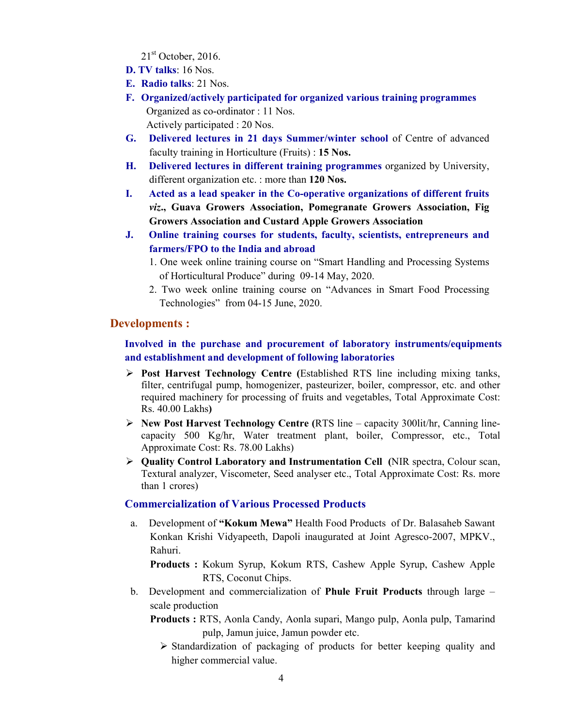$21<sup>st</sup>$  October, 2016.

- D. TV talks: 16 Nos.
- E. Radio talks: 21 Nos.
- F. Organized/actively participated for organized various training programmes Organized as co-ordinator : 11 Nos. Actively participated : 20 Nos.
- G. Delivered lectures in 21 days Summer/winter school of Centre of advanced faculty training in Horticulture (Fruits) : 15 Nos.
- H. Delivered lectures in different training programmes organized by University, different organization etc. : more than 120 Nos.
- I. Acted as a lead speaker in the Co-operative organizations of different fruits *viz*., Guava Growers Association, Pomegranate Growers Association, Fig Growers Association and Custard Apple Growers Association
- J. Online training courses for students, faculty, scientists, entrepreneurs and farmers/FPO to the India and abroad
	- 1. One week online training course on "Smart Handling and Processing Systems of Horticultural Produce" during 09-14 May, 2020.
	- 2. Two week online training course on "Advances in Smart Food Processing Technologies" from 04-15 June, 2020.

## Developments :

# Involved in the purchase and procurement of laboratory instruments/equipments and establishment and development of following laboratories

- $\triangleright$  Post Harvest Technology Centre (Established RTS line including mixing tanks, filter, centrifugal pump, homogenizer, pasteurizer, boiler, compressor, etc. and other required machinery for processing of fruits and vegetables, Total Approximate Cost: Rs. 40.00 Lakhs)
- $\triangleright$  New Post Harvest Technology Centre (RTS line capacity 300lit/hr, Canning linecapacity 500 Kg/hr, Water treatment plant, boiler, Compressor, etc., Total Approximate Cost: Rs. 78.00 Lakhs)
- $\triangleright$  Quality Control Laboratory and Instrumentation Cell (NIR spectra, Colour scan, Textural analyzer, Viscometer, Seed analyser etc., Total Approximate Cost: Rs. more than 1 crores)

#### Commercialization of Various Processed Products

a. Development of "Kokum Mewa" Health Food Products of Dr. Balasaheb Sawant Konkan Krishi Vidyapeeth, Dapoli inaugurated at Joint Agresco-2007, MPKV., Rahuri.

Products : Kokum Syrup, Kokum RTS, Cashew Apple Syrup, Cashew Apple RTS, Coconut Chips.

- b. Development and commercialization of **Phule Fruit Products** through large scale production
	- Products : RTS, Aonla Candy, Aonla supari, Mango pulp, Aonla pulp, Tamarind pulp, Jamun juice, Jamun powder etc.
		- $\triangleright$  Standardization of packaging of products for better keeping quality and higher commercial value.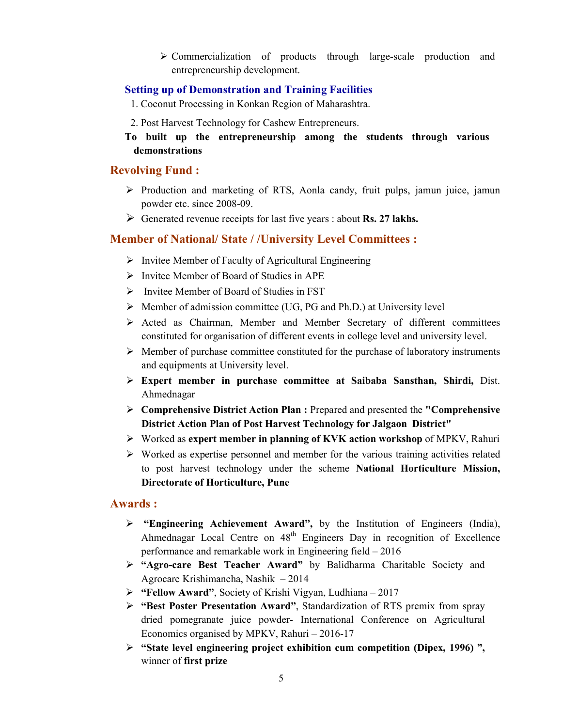Commercialization of products through large-scale production and entrepreneurship development.

## Setting up of Demonstration and Training Facilities

1. Coconut Processing in Konkan Region of Maharashtra.

- 2. Post Harvest Technology for Cashew Entrepreneurs.
- To built up the entrepreneurship among the students through various demonstrations

# Revolving Fund :

- $\triangleright$  Production and marketing of RTS, Aonla candy, fruit pulps, jamun juice, jamun powder etc. since 2008-09.
- $\triangleright$  Generated revenue receipts for last five years : about **Rs. 27 lakhs.**

# Member of National/ State / /University Level Committees :

- $\triangleright$  Invitee Member of Faculty of Agricultural Engineering
- $\triangleright$  Invitee Member of Board of Studies in APE
- $\triangleright$  Invitee Member of Board of Studies in FST
- $\triangleright$  Member of admission committee (UG, PG and Ph.D.) at University level
- $\triangleright$  Acted as Chairman, Member and Member Secretary of different committees constituted for organisation of different events in college level and university level.
- $\triangleright$  Member of purchase committee constituted for the purchase of laboratory instruments and equipments at University level.
- $\triangleright$  Expert member in purchase committee at Saibaba Sansthan, Shirdi, Dist. Ahmednagar
- $\triangleright$  Comprehensive District Action Plan : Prepared and presented the "Comprehensive" District Action Plan of Post Harvest Technology for Jalgaon District"
- Worked as expert member in planning of KVK action workshop of MPKV, Rahuri
- $\triangleright$  Worked as expertise personnel and member for the various training activities related to post harvest technology under the scheme National Horticulture Mission, Directorate of Horticulture, Pune

## Awards :

- > "Engineering Achievement Award", by the Institution of Engineers (India), Ahmednagar Local Centre on  $48<sup>th</sup>$  Engineers Day in recognition of Excellence performance and remarkable work in Engineering field – 2016
- > "Agro-care Best Teacher Award" by Balidharma Charitable Society and Agrocare Krishimancha, Nashik – 2014
- $\triangleright$  "Fellow Award", Society of Krishi Vigyan, Ludhiana 2017
- > "Best Poster Presentation Award", Standardization of RTS premix from spray dried pomegranate juice powder- International Conference on Agricultural Economics organised by MPKV, Rahuri – 2016-17
- $\triangleright$  "State level engineering project exhibition cum competition (Dipex, 1996)", winner of first prize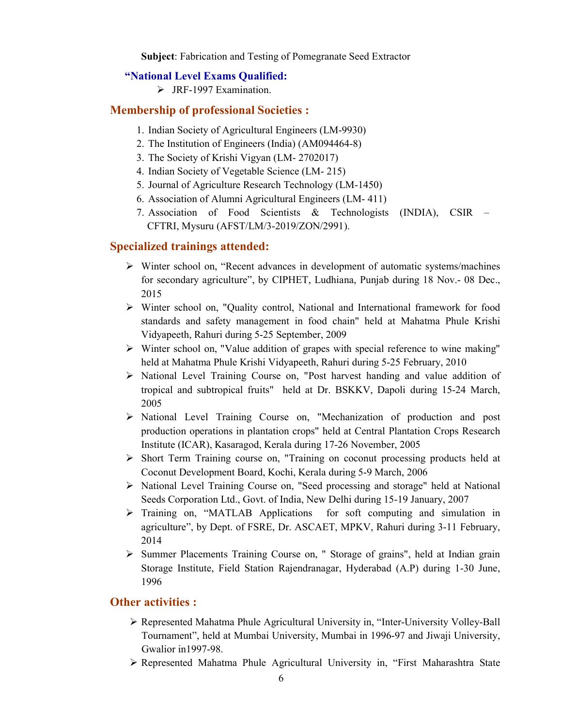Subject: Fabrication and Testing of Pomegranate Seed Extractor

#### "National Level Exams Qualified:

> JRF-1997 Examination.

#### Membership of professional Societies :

- 1. Indian Society of Agricultural Engineers (LM-9930)
- 2. The Institution of Engineers (India) (AM094464-8)
- 3. The Society of Krishi Vigyan (LM- 2702017)
- 4. Indian Society of Vegetable Science (LM- 215)
- 5. Journal of Agriculture Research Technology (LM-1450)
- 6. Association of Alumni Agricultural Engineers (LM- 411)
- 7. Association of Food Scientists & Technologists (INDIA), CSIR CFTRI, Mysuru (AFST/LM/3-2019/ZON/2991).

#### Specialized trainings attended:

- $\triangleright$  Winter school on, "Recent advances in development of automatic systems/machines for secondary agriculture", by CIPHET, Ludhiana, Punjab during 18 Nov.- 08 Dec., 2015
- $\triangleright$  Winter school on, "Quality control, National and International framework for food standards and safety management in food chain" held at Mahatma Phule Krishi Vidyapeeth, Rahuri during 5-25 September, 2009
- Winter school on, "Value addition of grapes with special reference to wine making" held at Mahatma Phule Krishi Vidyapeeth, Rahuri during 5-25 February, 2010
- > National Level Training Course on, "Post harvest handing and value addition of tropical and subtropical fruits" held at Dr. BSKKV, Dapoli during 15-24 March, 2005
- National Level Training Course on, "Mechanization of production and post production operations in plantation crops" held at Central Plantation Crops Research Institute (ICAR), Kasaragod, Kerala during 17-26 November, 2005
- Short Term Training course on, "Training on coconut processing products held at Coconut Development Board, Kochi, Kerala during 5-9 March, 2006
- National Level Training Course on, "Seed processing and storage" held at National Seeds Corporation Ltd., Govt. of India, New Delhi during 15-19 January, 2007
- $\triangleright$  Training on, "MATLAB Applications for soft computing and simulation in agriculture", by Dept. of FSRE, Dr. ASCAET, MPKV, Rahuri during 3-11 February, 2014
- $\triangleright$  Summer Placements Training Course on, " Storage of grains", held at Indian grain Storage Institute, Field Station Rajendranagar, Hyderabad (A.P) during 1-30 June, 1996

#### Other activities :

- Represented Mahatma Phule Agricultural University in, "Inter-University Volley-Ball Tournament", held at Mumbai University, Mumbai in 1996-97 and Jiwaji University, Gwalior in1997-98.
- Represented Mahatma Phule Agricultural University in, "First Maharashtra State